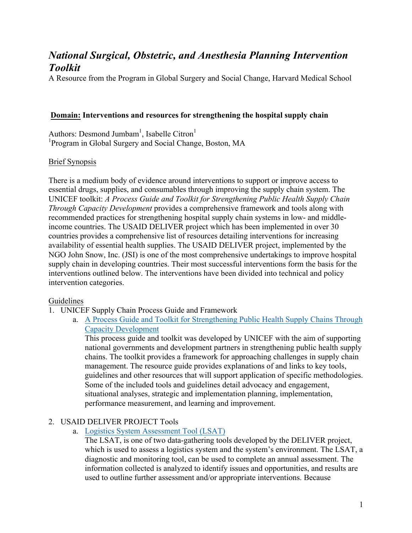# *National Surgical, Obstetric, and Anesthesia Planning Intervention Toolkit*

A Resource from the Program in Global Surgery and Social Change, Harvard Medical School

#### **Domain: Interventions and resources for strengthening the hospital supply chain**

Authors: Desmond Jumbam<sup>1</sup>, Isabelle Citron<sup>1</sup> <sup>1</sup>Program in Global Surgery and Social Change, Boston, MA

#### Brief Synopsis

There is a medium body of evidence around interventions to support or improve access to essential drugs, supplies, and consumables through improving the supply chain system. The UNICEF toolkit: *A Process Guide and Toolkit for Strengthening Public Health Supply Chain Through Capacity Development* provides a comprehensive framework and tools along with recommended practices for strengthening hospital supply chain systems in low- and middleincome countries. The USAID DELIVER project which has been implemented in over 30 countries provides a comprehensive list of resources detailing interventions for increasing availability of essential health supplies. The USAID DELIVER project, implemented by the NGO John Snow, Inc. (JSI) is one of the most comprehensive undertakings to improve hospital supply chain in developing countries. Their most successful interventions form the basis for the interventions outlined below. The interventions have been divided into technical and policy intervention categories.

#### Guidelines

- 1. UNICEF Supply Chain Process Guide and Framework
	- a. A Process Guide and Toolkit for Strengthening Public Health Supply Chains Through Capacity Development

This process guide and toolkit was developed by UNICEF with the aim of supporting national governments and development partners in strengthening public health supply chains. The toolkit provides a framework for approaching challenges in supply chain management. The resource guide provides explanations of and links to key tools, guidelines and other resources that will support application of specific methodologies. Some of the included tools and guidelines detail advocacy and engagement, situational analyses, strategic and implementation planning, implementation, performance measurement, and learning and improvement.

## 2. USAID DELIVER PROJECT Tools

a. Logistics System Assessment Tool (LSAT)

The LSAT, is one of two data-gathering tools developed by the DELIVER project, which is used to assess a logistics system and the system's environment. The LSAT, a diagnostic and monitoring tool, can be used to complete an annual assessment. The information collected is analyzed to identify issues and opportunities, and results are used to outline further assessment and/or appropriate interventions. Because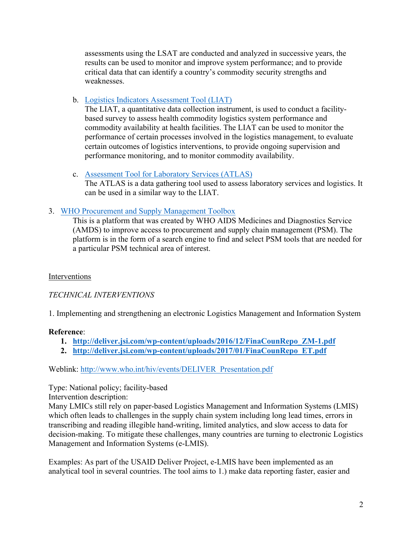assessments using the LSAT are conducted and analyzed in successive years, the results can be used to monitor and improve system performance; and to provide critical data that can identify a country's commodity security strengths and weaknesses.

b. Logistics Indicators Assessment Tool (LIAT)

The LIAT, a quantitative data collection instrument, is used to conduct a facilitybased survey to assess health commodity logistics system performance and commodity availability at health facilities. The LIAT can be used to monitor the performance of certain processes involved in the logistics management, to evaluate certain outcomes of logistics interventions, to provide ongoing supervision and performance monitoring, and to monitor commodity availability.

- c. Assessment Tool for Laboratory Services (ATLAS) The ATLAS is a data gathering tool used to assess laboratory services and logistics. It can be used in a similar way to the LIAT.
- 3. WHO Procurement and Supply Management Toolbox

This is a platform that was created by WHO AIDS Medicines and Diagnostics Service (AMDS) to improve access to procurement and supply chain management (PSM). The platform is in the form of a search engine to find and select PSM tools that are needed for a particular PSM technical area of interest.

## Interventions

## *TECHNICAL INTERVENTIONS*

1. Implementing and strengthening an electronic Logistics Management and Information System

## **Reference**:

- **1. http://deliver.jsi.com/wp-content/uploads/2016/12/FinaCounRepo\_ZM-1.pdf**
- **2. http://deliver.jsi.com/wp-content/uploads/2017/01/FinaCounRepo\_ET.pdf**

Weblink: http://www.who.int/hiv/events/DELIVER\_Presentation.pdf

Type: National policy; facility-based

Intervention description:

Many LMICs still rely on paper-based Logistics Management and Information Systems (LMIS) which often leads to challenges in the supply chain system including long lead times, errors in transcribing and reading illegible hand-writing, limited analytics, and slow access to data for decision-making. To mitigate these challenges, many countries are turning to electronic Logistics Management and Information Systems (e-LMIS).

Examples: As part of the USAID Deliver Project, e-LMIS have been implemented as an analytical tool in several countries. The tool aims to 1.) make data reporting faster, easier and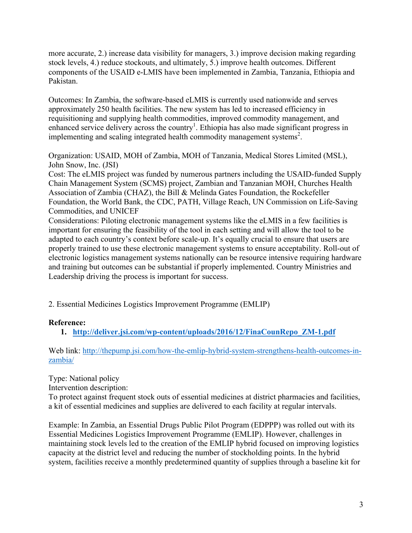more accurate, 2.) increase data visibility for managers, 3.) improve decision making regarding stock levels, 4.) reduce stockouts, and ultimately, 5.) improve health outcomes. Different components of the USAID e-LMIS have been implemented in Zambia, Tanzania, Ethiopia and Pakistan.

Outcomes: In Zambia, the software-based eLMIS is currently used nationwide and serves approximately 250 health facilities. The new system has led to increased efficiency in requisitioning and supplying health commodities, improved commodity management, and enhanced service delivery across the country<sup>1</sup>. Ethiopia has also made significant progress in implementing and scaling integrated health commodity management systems<sup>2</sup>.

Organization: USAID, MOH of Zambia, MOH of Tanzania, Medical Stores Limited (MSL), John Snow, Inc. (JSI)

Cost: The eLMIS project was funded by numerous partners including the USAID-funded Supply Chain Management System (SCMS) project, Zambian and Tanzanian MOH, Churches Health Association of Zambia (CHAZ), the Bill & Melinda Gates Foundation, the Rockefeller Foundation, the World Bank, the CDC, PATH, Village Reach, UN Commission on Life-Saving Commodities, and UNICEF

Considerations: Piloting electronic management systems like the eLMIS in a few facilities is important for ensuring the feasibility of the tool in each setting and will allow the tool to be adapted to each country's context before scale-up. It's equally crucial to ensure that users are properly trained to use these electronic management systems to ensure acceptability. Roll-out of electronic logistics management systems nationally can be resource intensive requiring hardware and training but outcomes can be substantial if properly implemented. Country Ministries and Leadership driving the process is important for success.

2. Essential Medicines Logistics Improvement Programme (EMLIP)

#### **Reference:**

**1. http://deliver.jsi.com/wp-content/uploads/2016/12/FinaCounRepo\_ZM-1.pdf**

Web link: http://thepump.jsi.com/how-the-emlip-hybrid-system-strengthens-health-outcomes-inzambia/

Type: National policy

Intervention description:

To protect against frequent stock outs of essential medicines at district pharmacies and facilities, a kit of essential medicines and supplies are delivered to each facility at regular intervals.

Example: In Zambia, an Essential Drugs Public Pilot Program (EDPPP) was rolled out with its Essential Medicines Logistics Improvement Programme (EMLIP). However, challenges in maintaining stock levels led to the creation of the EMLIP hybrid focused on improving logistics capacity at the district level and reducing the number of stockholding points. In the hybrid system, facilities receive a monthly predetermined quantity of supplies through a baseline kit for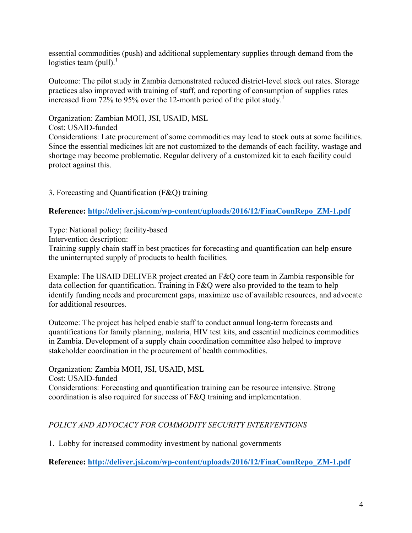essential commodities (push) and additional supplementary supplies through demand from the logistics team (pull). $\frac{1}{1}$ 

Outcome: The pilot study in Zambia demonstrated reduced district-level stock out rates. Storage practices also improved with training of staff, and reporting of consumption of supplies rates increased from 72% to 95% over the 12-month period of the pilot study.<sup>1</sup>

Organization: Zambian MOH, JSI, USAID, MSL

Cost: USAID-funded

Considerations: Late procurement of some commodities may lead to stock outs at some facilities. Since the essential medicines kit are not customized to the demands of each facility, wastage and shortage may become problematic. Regular delivery of a customized kit to each facility could protect against this.

3. Forecasting and Quantification (F&Q) training

**Reference: http://deliver.jsi.com/wp-content/uploads/2016/12/FinaCounRepo\_ZM-1.pdf**

Type: National policy; facility-based

Intervention description:

Training supply chain staff in best practices for forecasting and quantification can help ensure the uninterrupted supply of products to health facilities.

Example: The USAID DELIVER project created an F&Q core team in Zambia responsible for data collection for quantification. Training in F&Q were also provided to the team to help identify funding needs and procurement gaps, maximize use of available resources, and advocate for additional resources.

Outcome: The project has helped enable staff to conduct annual long-term forecasts and quantifications for family planning, malaria, HIV test kits, and essential medicines commodities in Zambia. Development of a supply chain coordination committee also helped to improve stakeholder coordination in the procurement of health commodities.

Organization: Zambia MOH, JSI, USAID, MSL Cost: USAID-funded Considerations: Forecasting and quantification training can be resource intensive. Strong coordination is also required for success of F&Q training and implementation.

## *POLICY AND ADVOCACY FOR COMMODITY SECURITY INTERVENTIONS*

1. Lobby for increased commodity investment by national governments

**Reference: http://deliver.jsi.com/wp-content/uploads/2016/12/FinaCounRepo\_ZM-1.pdf**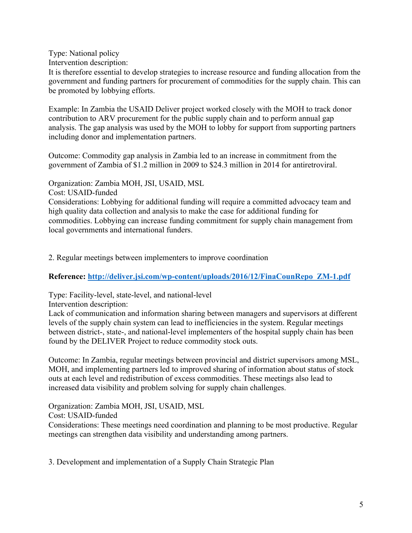Type: National policy

Intervention description:

It is therefore essential to develop strategies to increase resource and funding allocation from the government and funding partners for procurement of commodities for the supply chain. This can be promoted by lobbying efforts.

Example: In Zambia the USAID Deliver project worked closely with the MOH to track donor contribution to ARV procurement for the public supply chain and to perform annual gap analysis. The gap analysis was used by the MOH to lobby for support from supporting partners including donor and implementation partners.

Outcome: Commodity gap analysis in Zambia led to an increase in commitment from the government of Zambia of \$1.2 million in 2009 to \$24.3 million in 2014 for antiretroviral.

Organization: Zambia MOH, JSI, USAID, MSL

Cost: USAID-funded

Considerations: Lobbying for additional funding will require a committed advocacy team and high quality data collection and analysis to make the case for additional funding for commodities. Lobbying can increase funding commitment for supply chain management from local governments and international funders.

2. Regular meetings between implementers to improve coordination

**Reference: http://deliver.jsi.com/wp-content/uploads/2016/12/FinaCounRepo\_ZM-1.pdf**

Type: Facility-level, state-level, and national-level

Intervention description:

Lack of communication and information sharing between managers and supervisors at different levels of the supply chain system can lead to inefficiencies in the system. Regular meetings between district-, state-, and national-level implementers of the hospital supply chain has been found by the DELIVER Project to reduce commodity stock outs.

Outcome: In Zambia, regular meetings between provincial and district supervisors among MSL, MOH, and implementing partners led to improved sharing of information about status of stock outs at each level and redistribution of excess commodities. These meetings also lead to increased data visibility and problem solving for supply chain challenges.

Organization: Zambia MOH, JSI, USAID, MSL Cost: USAID-funded Considerations: These meetings need coordination and planning to be most productive. Regular meetings can strengthen data visibility and understanding among partners.

3. Development and implementation of a Supply Chain Strategic Plan